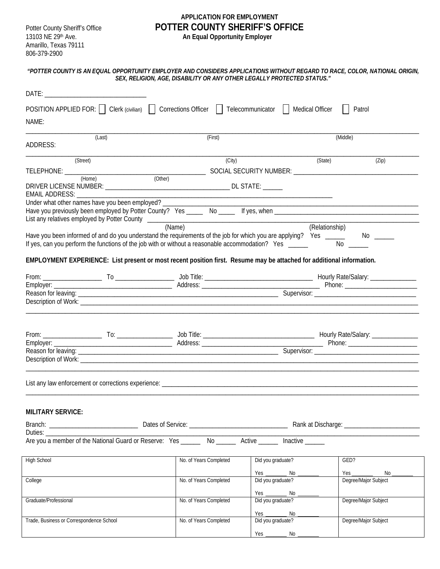Amarillo, Texas 79111 806-379-2900

## **APPLICATION FOR EMPLOYMENT** Potter County Sheriff's Office **POTTER COUNTY SHERIFF'S OFFICE**<br>13103 NE 29<sup>th</sup> Ave. **An Equal Opportunity Employer**

13103 NE 29th Ave. **An Equal Opportunity Employer**

|                                                                                                                                                                                                                                |                                                                                                                                                                                                                      | SEX, RELIGION, AGE, DISABILITY OR ANY OTHER LEGALLY PROTECTED STATUS." |         |                                        |  |                      | "POTTER COUNTY IS AN EQUAL OPPORTUNITY EMPLOYER AND CONSIDERS APPLICATIONS WITHOUT REGARD TO RACE, COLOR, NATIONAL ORIGIN, |
|--------------------------------------------------------------------------------------------------------------------------------------------------------------------------------------------------------------------------------|----------------------------------------------------------------------------------------------------------------------------------------------------------------------------------------------------------------------|------------------------------------------------------------------------|---------|----------------------------------------|--|----------------------|----------------------------------------------------------------------------------------------------------------------------|
| DATE: A CONSTRUCTION OF THE CONSTRUCTION OF THE CONSTRUCTION OF THE CONSTRUCTION OF THE CONSTRUCTION OF THE CONSTRUCTION OF THE CONSTRUCTION OF THE CONSTRUCTION OF THE CONSTRUCTION OF THE CONSTRUCTION OF THE CONSTRUCTION O |                                                                                                                                                                                                                      |                                                                        |         |                                        |  |                      |                                                                                                                            |
| NAME:                                                                                                                                                                                                                          | POSITION APPLIED FOR: [   Clerk (civilian)     Corrections Officer     Telecommunicator     Medical Officer                                                                                                          |                                                                        |         |                                        |  |                      | Patrol                                                                                                                     |
| ADDRESS:                                                                                                                                                                                                                       | (Last)                                                                                                                                                                                                               |                                                                        | (First) |                                        |  | (Middle)             |                                                                                                                            |
|                                                                                                                                                                                                                                |                                                                                                                                                                                                                      |                                                                        |         |                                        |  |                      |                                                                                                                            |
| (Street)                                                                                                                                                                                                                       |                                                                                                                                                                                                                      |                                                                        | (City)  |                                        |  | (State)              | (Zip)                                                                                                                      |
|                                                                                                                                                                                                                                |                                                                                                                                                                                                                      |                                                                        |         |                                        |  |                      |                                                                                                                            |
| EMAIL ADDRESS: ________________                                                                                                                                                                                                | Under what other names have you been employed? _____________                                                                                                                                                         |                                                                        |         |                                        |  |                      |                                                                                                                            |
|                                                                                                                                                                                                                                |                                                                                                                                                                                                                      |                                                                        |         |                                        |  |                      |                                                                                                                            |
|                                                                                                                                                                                                                                | Have you been informed of and do you understand the requirements of the job for which you are applying? Yes ____<br>If yes, can you perform the functions of the job with or without a reasonable accommodation? Yes | (Name)                                                                 |         |                                        |  | (Relationship)<br>No | No.                                                                                                                        |
|                                                                                                                                                                                                                                | EMPLOYMENT EXPERIENCE: List present or most recent position first. Resume may be attached for additional information.                                                                                                |                                                                        |         |                                        |  |                      |                                                                                                                            |
|                                                                                                                                                                                                                                |                                                                                                                                                                                                                      |                                                                        |         |                                        |  |                      |                                                                                                                            |
|                                                                                                                                                                                                                                |                                                                                                                                                                                                                      |                                                                        |         |                                        |  |                      |                                                                                                                            |
|                                                                                                                                                                                                                                |                                                                                                                                                                                                                      |                                                                        |         |                                        |  |                      | <u> 1989 - Johann John Stone, markin fan it ferstjer fan it ferstjer fan it ferstjer fan it ferstjer fan it fers</u>       |
|                                                                                                                                                                                                                                |                                                                                                                                                                                                                      |                                                                        |         |                                        |  |                      |                                                                                                                            |
|                                                                                                                                                                                                                                |                                                                                                                                                                                                                      |                                                                        |         |                                        |  |                      |                                                                                                                            |
|                                                                                                                                                                                                                                |                                                                                                                                                                                                                      |                                                                        |         |                                        |  |                      |                                                                                                                            |
|                                                                                                                                                                                                                                | List any law enforcement or corrections experience:                                                                                                                                                                  |                                                                        |         |                                        |  |                      |                                                                                                                            |
| <b>MILITARY SERVICE:</b>                                                                                                                                                                                                       |                                                                                                                                                                                                                      |                                                                        |         |                                        |  |                      |                                                                                                                            |
|                                                                                                                                                                                                                                |                                                                                                                                                                                                                      |                                                                        |         |                                        |  |                      |                                                                                                                            |
| Duties: __                                                                                                                                                                                                                     | Are you a member of the National Guard or Reserve: Yes _______ No ______ Active ______ Inactive ______                                                                                                               |                                                                        |         |                                        |  |                      |                                                                                                                            |
| <b>High School</b>                                                                                                                                                                                                             |                                                                                                                                                                                                                      | No. of Years Completed                                                 |         | Did you graduate?                      |  |                      | GED?                                                                                                                       |
| College                                                                                                                                                                                                                        |                                                                                                                                                                                                                      | No. of Years Completed                                                 |         | Yes ________ No _<br>Did you graduate? |  |                      | No _<br>Degree/Major Subject                                                                                               |
| Graduate/Professional                                                                                                                                                                                                          |                                                                                                                                                                                                                      | No. of Years Completed                                                 |         | Yes No.                                |  |                      | Degree/Major Subject                                                                                                       |
| Trade, Business or Correspondence School                                                                                                                                                                                       |                                                                                                                                                                                                                      | No. of Years Completed                                                 |         | Yes <u>Wes No</u><br>Did you graduate? |  |                      | Degree/Major Subject                                                                                                       |
|                                                                                                                                                                                                                                |                                                                                                                                                                                                                      |                                                                        |         | Yes ________________ No _______        |  |                      |                                                                                                                            |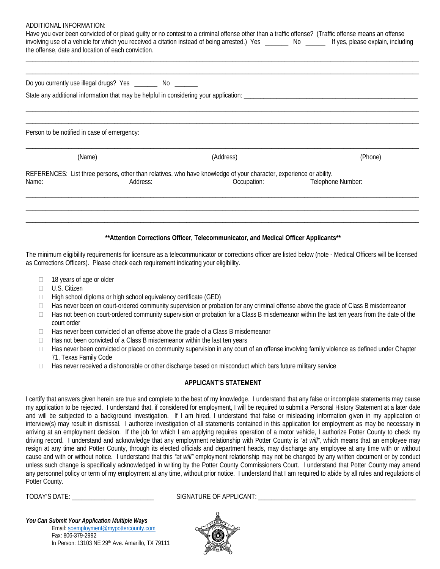| ADDITIONAL INFORMATION:                                                                                                                                                                                |          |             |                   |         |
|--------------------------------------------------------------------------------------------------------------------------------------------------------------------------------------------------------|----------|-------------|-------------------|---------|
| Have you ever been convicted of or plead guilty or no contest to a criminal offense other than a traffic offense? (Traffic offense means an offense                                                    |          |             |                   |         |
| involving use of a vehicle for which you received a citation instead of being arrested.) Yes _______ No ______ If yes, please explain, including<br>the offense, date and location of each conviction. |          |             |                   |         |
|                                                                                                                                                                                                        |          |             |                   |         |
|                                                                                                                                                                                                        |          |             |                   |         |
| Do you currently use illegal drugs? Yes _________ No ________                                                                                                                                          |          |             |                   |         |
|                                                                                                                                                                                                        |          |             |                   |         |
|                                                                                                                                                                                                        |          |             |                   |         |
|                                                                                                                                                                                                        |          |             |                   |         |
| Person to be notified in case of emergency:                                                                                                                                                            |          |             |                   |         |
| (Name)                                                                                                                                                                                                 |          | (Address)   |                   | (Phone) |
| REFERENCES: List three persons, other than relatives, who have knowledge of your character, experience or ability.                                                                                     |          |             |                   |         |
| Name:                                                                                                                                                                                                  | Address: | Occupation: | Telephone Number: |         |
|                                                                                                                                                                                                        |          |             |                   |         |
|                                                                                                                                                                                                        |          |             |                   |         |
|                                                                                                                                                                                                        |          |             |                   |         |
|                                                                                                                                                                                                        |          |             |                   |         |
|                                                                                                                                                                                                        |          |             |                   |         |

## **\*\*Attention Corrections Officer, Telecommunicator, and Medical Officer Applicants\*\***

The minimum eligibility requirements for licensure as a telecommunicator or corrections officer are listed below (note - Medical Officers will be licensed as Corrections Officers). Please check each requirement indicating your eligibility.

- $\Box$  18 years of age or older
- □ U.S. Citizen
- $\Box$  High school diploma or high school equivalency certificate (GED)
- $\Box$  Has never been on court-ordered community supervision or probation for any criminal offense above the grade of Class B misdemeanor
- $\Box$  Has not been on court-ordered community supervision or probation for a Class B misdemeanor within the last ten years from the date of the court order
- $\Box$  Has never been convicted of an offense above the grade of a Class B misdemeanor
- $\Box$  Has not been convicted of a Class B misdemeanor within the last ten years
- $\Box$  Has never been convicted or placed on community supervision in any court of an offense involving family violence as defined under Chapter 71, Texas Family Code
- $\Box$  Has never received a dishonorable or other discharge based on misconduct which bars future military service

## **APPLICANT'S STATEMENT**

I certify that answers given herein are true and complete to the best of my knowledge. I understand that any false or incomplete statements may cause my application to be rejected. I understand that, if considered for employment, I will be required to submit a Personal History Statement at a later date and will be subjected to a background investigation. If I am hired, I understand that false or misleading information given in my application or interview(s) may result in dismissal. I authorize investigation of all statements contained in this application for employment as may be necessary in arriving at an employment decision. If the job for which I am applying requires operation of a motor vehicle, I authorize Potter County to check my driving record. I understand and acknowledge that any employment relationship with Potter County is *"at will",* which means that an employee may resign at any time and Potter County, through its elected officials and department heads, may discharge any employee at any time with or without cause and with or without notice. I understand that this *"at will"* employment relationship may not be changed by any written document or by conduct unless such change is specifically acknowledged in writing by the Potter County Commissioners Court. I understand that Potter County may amend any personnel policy or term of my employment at any time, without prior notice. I understand that I am required to abide by all rules and regulations of Potter County.

TODAY'S DATE: \_\_\_\_\_\_\_\_\_\_\_\_\_\_\_\_\_\_\_\_\_\_\_\_\_ SIGNATURE OF APPLICANT: \_\_\_\_\_\_\_\_\_\_\_\_\_\_\_\_\_\_\_\_\_\_\_\_\_\_\_\_\_\_\_\_\_\_\_\_\_\_\_\_\_\_\_\_\_\_\_\_

*You Can Submit Your Application Multiple Ways*  Email[: soemployment@mypottercounty.com](mailto:soemployment@mypottercounty.com) Fax: 806-379-2992 In Person: 13103 NE 29th Ave. Amarillo, TX 79111